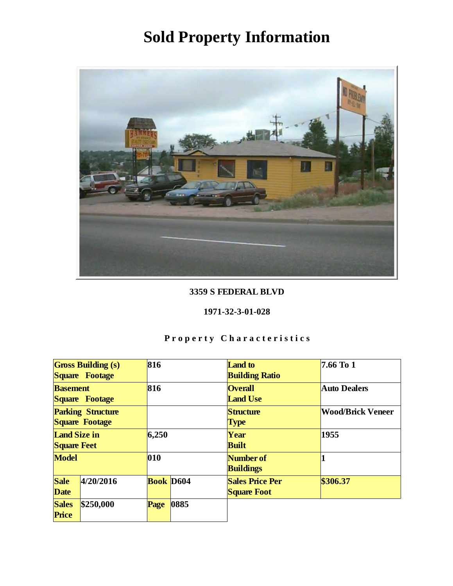

#### 3359 S FEDERAL BLVD

#### 1971-32-3-01-028

| <b>Gross Building (s)</b><br>Square Footage |           | 816              |      | Land to<br><b>Building Ratio</b>             | 7.66 To 1                |
|---------------------------------------------|-----------|------------------|------|----------------------------------------------|--------------------------|
| <b>Basement</b><br>Square Footage           |           | 816              |      | <b>Overall</b><br><b>Land Use</b>            | <b>Auto Dealers</b>      |
| <b>Parking Structure</b><br>Square Footage  |           |                  |      | Structure<br>Type                            | <b>Wood/Brick Veneer</b> |
| Land Size in<br><b>Square Feet</b>          |           | 6,250            |      | Year<br><b>Built</b>                         | 1955                     |
| Model                                       |           | 010              |      | Number of<br><b>Buildings</b>                |                          |
| Sale<br>Date                                | 4/20/2016 | <b>Book D604</b> |      | <b>Sales Price Per</b><br><b>Square Foot</b> | \$306.37                 |
| <b>Sales</b><br>Price                       | \$250,000 | Page             | 0885 |                                              |                          |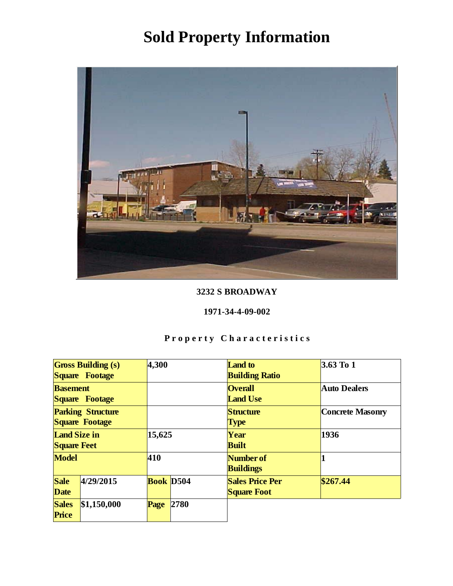

### 3232 S BROADWAY

#### 1971-34-4-09-002

| <b>Gross Building (s)</b><br>Square Footage |             | 4,300     |      | Land to<br><b>Building Ratio</b>             | 3.63 To 1           |
|---------------------------------------------|-------------|-----------|------|----------------------------------------------|---------------------|
| <b>Basement</b><br>Square Footage           |             |           |      | <b>Overall</b><br><b>Land Use</b>            | <b>Auto Dealers</b> |
| <b>Parking Structure</b><br>Square Footage  |             |           |      | Structure<br><b>Type</b>                     | Concrete Masonry    |
| Land Size in<br><b>Square Feet</b>          |             | 15,625    |      | Year<br><b>Built</b>                         | 1936                |
| Model                                       |             | 410       |      | Number of<br><b>Buildings</b>                |                     |
| Sale<br>Date                                | 4/29/2015   | Book D504 |      | <b>Sales Price Per</b><br><b>Square Foot</b> | \$267.44            |
| <b>Sales</b><br>Price                       | \$1,150,000 | Page      | 2780 |                                              |                     |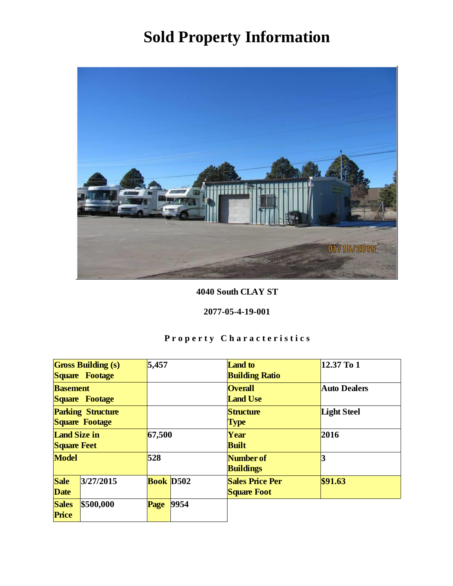

4040 South CLAY ST

#### 2077-05-4-19-001

| <b>Gross Building (s)</b><br>Square Footage |           | 5,457     |      | <b>Land</b> to<br><b>Building Ratio</b>      | 12.37 To 1          |
|---------------------------------------------|-----------|-----------|------|----------------------------------------------|---------------------|
| <b>Basement</b><br>Square Footage           |           |           |      | <b>Overall</b><br><b>Land Use</b>            | <b>Auto Dealers</b> |
| <b>Parking Structure</b><br>Square Footage  |           |           |      | Structure<br><b>Type</b>                     | Light Steel         |
| Land Size in<br><b>Square Feet</b>          |           | 67,500    |      | Year<br><b>Built</b>                         | 2016                |
| Model                                       |           | 528       |      | Number of<br><b>Buildings</b>                | 3                   |
| Sale<br>Date                                | 3/27/2015 | Book D502 |      | <b>Sales Price Per</b><br><b>Square Foot</b> | \$91.63             |
| <b>Sales</b><br>Price                       | \$500,000 | Page      | 9954 |                                              |                     |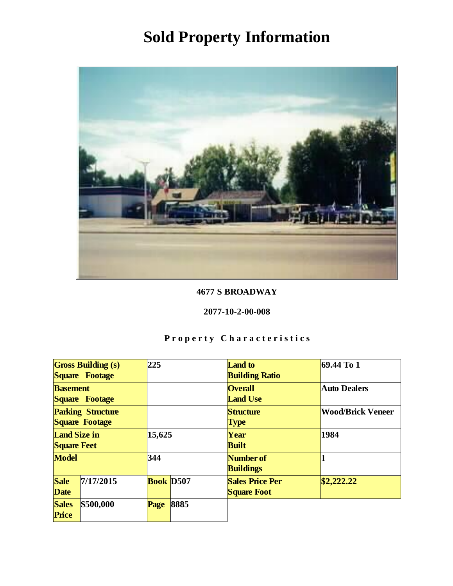

### 4677 S BROADWAY

#### 2077-10-2-00-008

| <b>Gross Building (s)</b><br>Square Footage |           | 225              |      | Land to<br><b>Building Ratio</b>             | $69.44$ To 1             |
|---------------------------------------------|-----------|------------------|------|----------------------------------------------|--------------------------|
| <b>Basement</b><br>Square Footage           |           |                  |      | <b>Overall</b><br><b>Land Use</b>            | <b>Auto Dealers</b>      |
| <b>Parking Structure</b><br>Square Footage  |           |                  |      | Structure<br><b>Type</b>                     | <b>Wood/Brick Veneer</b> |
| Land Size in<br><b>Square Feet</b>          |           | 15,625           |      | Year<br><b>Built</b>                         | 1984                     |
| Model                                       |           | 344              |      | Number of<br><b>Buildings</b>                |                          |
| Sale<br>Date                                | 7/17/2015 | <b>Book D507</b> |      | <b>Sales Price Per</b><br><b>Square Foot</b> | \$2,222.22               |
| <b>Sales</b><br>Price                       | \$500,000 | Page             | 8885 |                                              |                          |